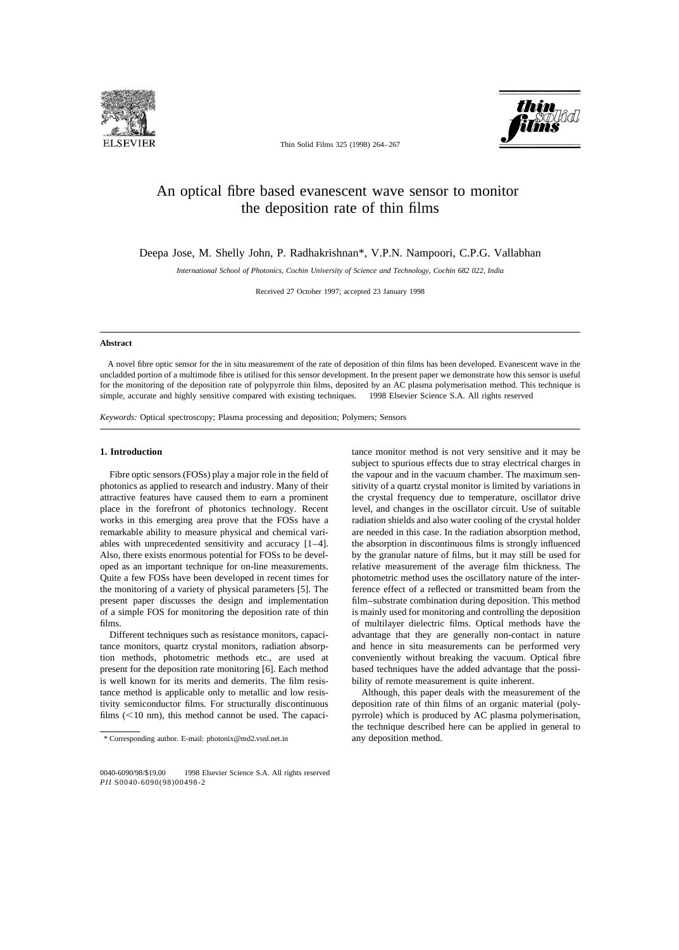

Thin Solid Films 325 (1998) 264–267



# An optical fibre based evanescent wave sensor to monitor the deposition rate of thin films

Deepa Jose, M. Shelly John, P. Radhakrishnan\*, V.P.N. Nampoori, C.P.G. Vallabhan

*International School of Photonics, Cochin University of Science and Technology, Cochin 682 022, India*

Received 27 October 1997; accepted 23 January 1998

## **Abstract**

A novel fibre optic sensor for the in situ measurement of the rate of deposition of thin films has been developed. Evanescent wave in the uncladded portion of a multimode fibre is utilised for this sensor development. In the present paper we demonstrate how this sensor is useful for the monitoring of the deposition rate of polypyrrole thin films, deposited by an AC plasma polymerisation method. This technique is simple, accurate and highly sensitive compared with existing techniques. © 1998 Elsevier Science S.A. All rights reserved

*Keywords:* Optical spectroscopy; Plasma processing and deposition; Polymers; Sensors

#### **1. Introduction**

Fibre optic sensors (FOSs) play a major role in the field of photonics as applied to research and industry. Many of their attractive features have caused them to earn a prominent place in the forefront of photonics technology. Recent works in this emerging area prove that the FOSs have a remarkable ability to measure physical and chemical variables with unprecedented sensitivity and accuracy [1–4]. Also, there exists enormous potential for FOSs to be developed as an important technique for on-line measurements. Quite a few FOSs have been developed in recent times for the monitoring of a variety of physical parameters [5]. The present paper discusses the design and implementation of a simple FOS for monitoring the deposition rate of thin films.

Different techniques such as resistance monitors, capacitance monitors, quartz crystal monitors, radiation absorption methods, photometric methods etc., are used at present for the deposition rate monitoring [6]. Each method is well known for its merits and demerits. The film resistance method is applicable only to metallic and low resistivity semiconductor films. For structurally discontinuous films  $(<10$  nm), this method cannot be used. The capacitance monitor method is not very sensitive and it may be subject to spurious effects due to stray electrical charges in the vapour and in the vacuum chamber. The maximum sensitivity of a quartz crystal monitor is limited by variations in the crystal frequency due to temperature, oscillator drive level, and changes in the oscillator circuit. Use of suitable radiation shields and also water cooling of the crystal holder are needed in this case. In the radiation absorption method, the absorption in discontinuous films is strongly influenced by the granular nature of films, but it may still be used for relative measurement of the average film thickness. The photometric method uses the oscillatory nature of the interference effect of a reflected or transmitted beam from the film–substrate combination during deposition. This method is mainly used for monitoring and controlling the deposition of multilayer dielectric films. Optical methods have the advantage that they are generally non-contact in nature and hence in situ measurements can be performed very conveniently without breaking the vacuum. Optical fibre based techniques have the added advantage that the possibility of remote measurement is quite inherent.

Although, this paper deals with the measurement of the deposition rate of thin films of an organic material (polypyrrole) which is produced by AC plasma polymerisation, the technique described here can be applied in general to any deposition method.

<sup>\*</sup> Corresponding author. E-mail: photonix@md2.vsnl.net.in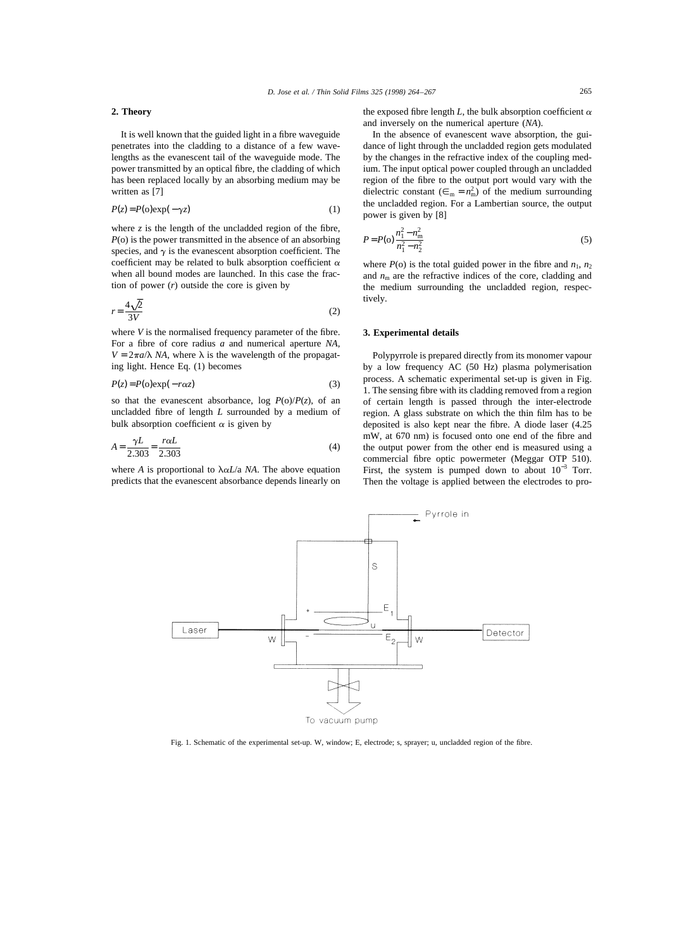# **2. Theory**

It is well known that the guided light in a fibre waveguide penetrates into the cladding to a distance of a few wavelengths as the evanescent tail of the waveguide mode. The power transmitted by an optical fibre, the cladding of which has been replaced locally by an absorbing medium may be written as [7]

$$
P(z) = P(o) \exp(-\gamma z) \tag{1}
$$

where  $\zeta$  is the length of the uncladded region of the fibre, *P*(o) is the power transmitted in the absence of an absorbing species, and  $\gamma$  is the evanescent absorption coefficient. The coefficient may be related to bulk absorption coefficient  $\alpha$ when all bound modes are launched. In this case the fraction of power (*r*) outside the core is given by

$$
r = \frac{4\sqrt{2}}{3V} \tag{2}
$$

where *V* is the normalised frequency parameter of the fibre. For a fibre of core radius *a* and numerical aperture *NA*,  $V = 2\pi a/\lambda$  *NA*, where  $\lambda$  is the wavelength of the propagating light. Hence Eq. (1) becomes

$$
P(z) = P(o) \exp(-r\alpha z)
$$
 (3)

so that the evanescent absorbance,  $log P(0)/P(z)$ , of an uncladded fibre of length *L* surrounded by a medium of bulk absorption coefficient  $\alpha$  is given by

$$
A = \frac{\gamma L}{2.303} = \frac{r \alpha L}{2.303}
$$
 (4)

where *A* is proportional to  $\lambda \alpha L/a$  *NA*. The above equation predicts that the evanescent absorbance depends linearly on

In the absence of evanescent wave absorption, the guidance of light through the uncladded region gets modulated by the changes in the refractive index of the coupling medium. The input optical power coupled through an uncladded region of the fibre to the output port would vary with the dielectric constant  $(\epsilon_m = n_m^2)$  of the medium surrounding the uncladded region. For a Lambertian source, the output power is given by [8]

$$
P = P(o) \frac{n_1^2 - n_m^2}{n_1^2 - n_2^2}
$$
 (5)

where  $P$ (o) is the total guided power in the fibre and  $n_1$ ,  $n_2$ and  $n<sub>m</sub>$  are the refractive indices of the core, cladding and the medium surrounding the uncladded region, respectively.

#### **3. Experimental details**

Polypyrrole is prepared directly from its monomer vapour by a low frequency AC (50 Hz) plasma polymerisation process. A schematic experimental set-up is given in Fig. 1. The sensing fibre with its cladding removed from a region of certain length is passed through the inter-electrode region. A glass substrate on which the thin film has to be deposited is also kept near the fibre. A diode laser (4.25 mW, at 670 nm) is focused onto one end of the fibre and the output power from the other end is measured using a commercial fibre optic powermeter (Meggar OTP 510). First, the system is pumped down to about  $10^{-3}$  Torr. Then the voltage is applied between the electrodes to pro-



Fig. 1. Schematic of the experimental set-up. W, window; E, electrode; s, sprayer; u, uncladded region of the fibre.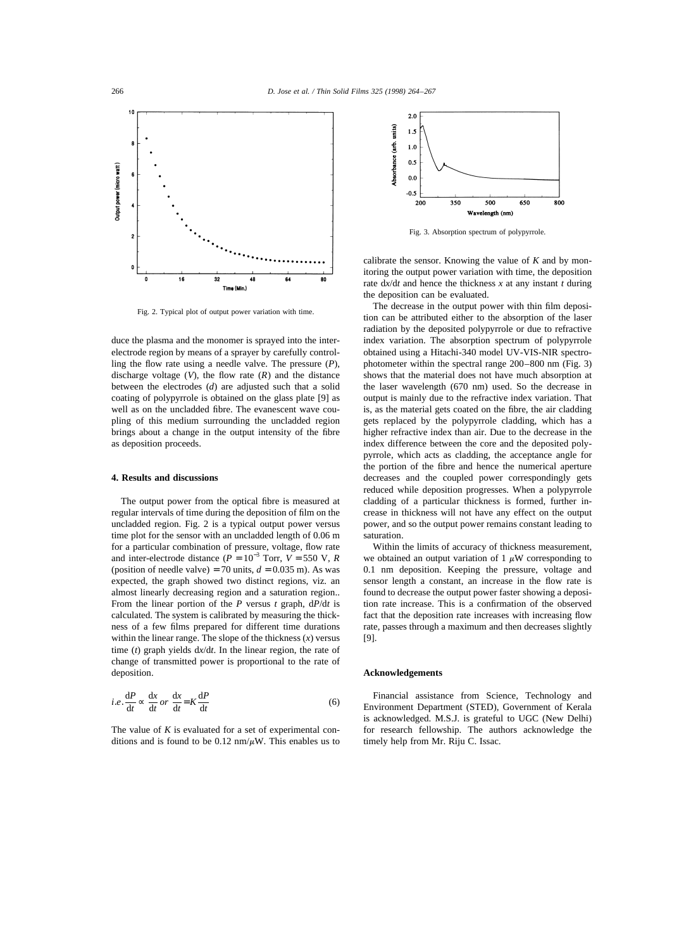

Fig. 2. Typical plot of output power variation with time.

duce the plasma and the monomer is sprayed into the interelectrode region by means of a sprayer by carefully controlling the flow rate using a needle valve. The pressure (*P*), discharge voltage (*V*), the flow rate (*R*) and the distance between the electrodes (*d*) are adjusted such that a solid coating of polypyrrole is obtained on the glass plate [9] as well as on the uncladded fibre. The evanescent wave coupling of this medium surrounding the uncladded region brings about a change in the output intensity of the fibre as deposition proceeds.

#### **4. Results and discussions**

The output power from the optical fibre is measured at regular intervals of time during the deposition of film on the uncladded region. Fig. 2 is a typical output power versus time plot for the sensor with an uncladded length of 0.06 m for a particular combination of pressure, voltage, flow rate and inter-electrode distance ( $P = 10^{-3}$  Torr,  $V = 550$  V, *R* (position of needle valve) = 70 units,  $d = 0.035$  m). As was expected, the graph showed two distinct regions, viz. an almost linearly decreasing region and a saturation region.. From the linear portion of the *P* versus *t* graph, d*P*/d*t* is calculated. The system is calibrated by measuring the thickness of a few films prepared for different time durations within the linear range. The slope of the thickness (*x*) versus time (*t*) graph yields d*x*/d*t*. In the linear region, the rate of change of transmitted power is proportional to the rate of deposition.

$$
i.e. \frac{\mathrm{d}P}{\mathrm{d}t} \propto \frac{\mathrm{d}x}{\mathrm{d}t} \, or \, \frac{\mathrm{d}x}{\mathrm{d}t} = K \frac{\mathrm{d}P}{\mathrm{d}t} \tag{6}
$$

The value of *K* is evaluated for a set of experimental conditions and is found to be 0.12 nm/ $\mu$ W. This enables us to



Fig. 3. Absorption spectrum of polypyrrole.

calibrate the sensor. Knowing the value of *K* and by monitoring the output power variation with time, the deposition rate d*x*/d*t* and hence the thickness *x* at any instant *t* during the deposition can be evaluated.

The decrease in the output power with thin film deposition can be attributed either to the absorption of the laser radiation by the deposited polypyrrole or due to refractive index variation. The absorption spectrum of polypyrrole obtained using a Hitachi-340 model UV-VIS-NIR spectrophotometer within the spectral range 200–800 nm (Fig. 3) shows that the material does not have much absorption at the laser wavelength (670 nm) used. So the decrease in output is mainly due to the refractive index variation. That is, as the material gets coated on the fibre, the air cladding gets replaced by the polypyrrole cladding, which has a higher refractive index than air. Due to the decrease in the index difference between the core and the deposited polypyrrole, which acts as cladding, the acceptance angle for the portion of the fibre and hence the numerical aperture decreases and the coupled power correspondingly gets reduced while deposition progresses. When a polypyrrole cladding of a particular thickness is formed, further increase in thickness will not have any effect on the output power, and so the output power remains constant leading to saturation.

Within the limits of accuracy of thickness measurement, we obtained an output variation of 1  $\mu$ W corresponding to 0.1 nm deposition. Keeping the pressure, voltage and sensor length a constant, an increase in the flow rate is found to decrease the output power faster showing a deposition rate increase. This is a confirmation of the observed fact that the deposition rate increases with increasing flow rate, passes through a maximum and then decreases slightly [9].

# **Acknowledgements**

Financial assistance from Science, Technology and Environment Department (STED), Government of Kerala is acknowledged. M.S.J. is grateful to UGC (New Delhi) for research fellowship. The authors acknowledge the timely help from Mr. Riju C. Issac.